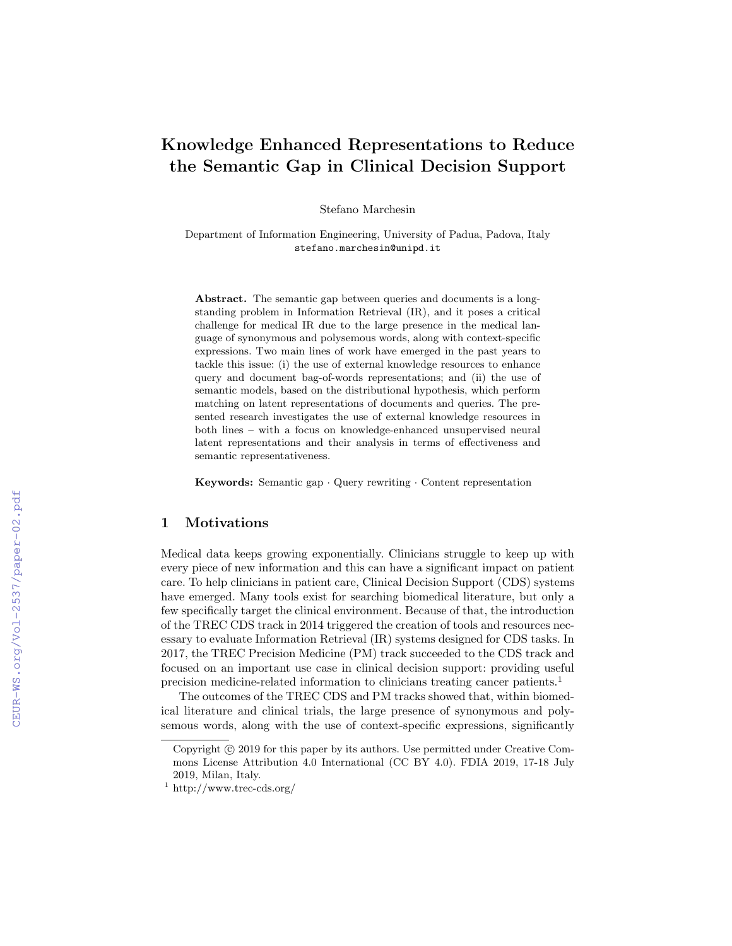# Knowledge Enhanced Representations to Reduce the Semantic Gap in Clinical Decision Support

Stefano Marchesin

Department of Information Engineering, University of Padua, Padova, Italy stefano.marchesin@unipd.it

Abstract. The semantic gap between queries and documents is a longstanding problem in Information Retrieval (IR), and it poses a critical challenge for medical IR due to the large presence in the medical language of synonymous and polysemous words, along with context-specific expressions. Two main lines of work have emerged in the past years to tackle this issue: (i) the use of external knowledge resources to enhance query and document bag-of-words representations; and (ii) the use of semantic models, based on the distributional hypothesis, which perform matching on latent representations of documents and queries. The presented research investigates the use of external knowledge resources in both lines – with a focus on knowledge-enhanced unsupervised neural latent representations and their analysis in terms of effectiveness and semantic representativeness.

Keywords: Semantic gap · Query rewriting · Content representation

### 1 Motivations

Medical data keeps growing exponentially. Clinicians struggle to keep up with every piece of new information and this can have a significant impact on patient care. To help clinicians in patient care, Clinical Decision Support (CDS) systems have emerged. Many tools exist for searching biomedical literature, but only a few specifically target the clinical environment. Because of that, the introduction of the TREC CDS track in 2014 triggered the creation of tools and resources necessary to evaluate Information Retrieval (IR) systems designed for CDS tasks. In 2017, the TREC Precision Medicine (PM) track succeeded to the CDS track and focused on an important use case in clinical decision support: providing useful precision medicine-related information to clinicians treating cancer patients.<sup>1</sup>

The outcomes of the TREC CDS and PM tracks showed that, within biomedical literature and clinical trials, the large presence of synonymous and polysemous words, along with the use of context-specific expressions, significantly

Copyright  $\odot$  2019 for this paper by its authors. Use permitted under Creative Commons License Attribution 4.0 International (CC BY 4.0). FDIA 2019, 17-18 July 2019, Milan, Italy.

 $1 \text{ http://www.trec-cds.org/}$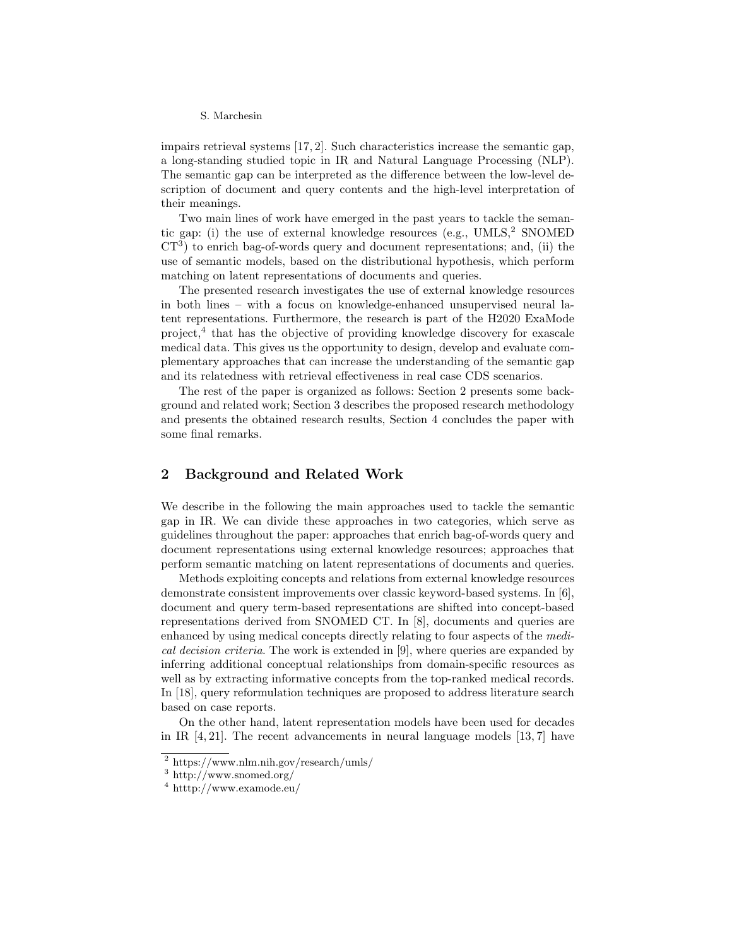#### S. Marchesin

impairs retrieval systems [17, 2]. Such characteristics increase the semantic gap, a long-standing studied topic in IR and Natural Language Processing (NLP). The semantic gap can be interpreted as the difference between the low-level description of document and query contents and the high-level interpretation of their meanings.

Two main lines of work have emerged in the past years to tackle the semantic gap: (i) the use of external knowledge resources (e.g.,  $UMLS<sup>2</sup>$  SNOMED  $CT<sup>3</sup>$ ) to enrich bag-of-words query and document representations; and, (ii) the use of semantic models, based on the distributional hypothesis, which perform matching on latent representations of documents and queries.

The presented research investigates the use of external knowledge resources in both lines – with a focus on knowledge-enhanced unsupervised neural latent representations. Furthermore, the research is part of the H2020 ExaMode project,<sup>4</sup> that has the objective of providing knowledge discovery for exascale medical data. This gives us the opportunity to design, develop and evaluate complementary approaches that can increase the understanding of the semantic gap and its relatedness with retrieval effectiveness in real case CDS scenarios.

The rest of the paper is organized as follows: Section 2 presents some background and related work; Section 3 describes the proposed research methodology and presents the obtained research results, Section 4 concludes the paper with some final remarks.

### 2 Background and Related Work

We describe in the following the main approaches used to tackle the semantic gap in IR. We can divide these approaches in two categories, which serve as guidelines throughout the paper: approaches that enrich bag-of-words query and document representations using external knowledge resources; approaches that perform semantic matching on latent representations of documents and queries.

Methods exploiting concepts and relations from external knowledge resources demonstrate consistent improvements over classic keyword-based systems. In [6], document and query term-based representations are shifted into concept-based representations derived from SNOMED CT. In [8], documents and queries are enhanced by using medical concepts directly relating to four aspects of the medical decision criteria. The work is extended in [9], where queries are expanded by inferring additional conceptual relationships from domain-specific resources as well as by extracting informative concepts from the top-ranked medical records. In [18], query reformulation techniques are proposed to address literature search based on case reports.

On the other hand, latent representation models have been used for decades in IR [4, 21]. The recent advancements in neural language models [13, 7] have

<sup>2</sup> https://www.nlm.nih.gov/research/umls/

<sup>3</sup> http://www.snomed.org/

 $4 \text{ http://www.examode.eu/}$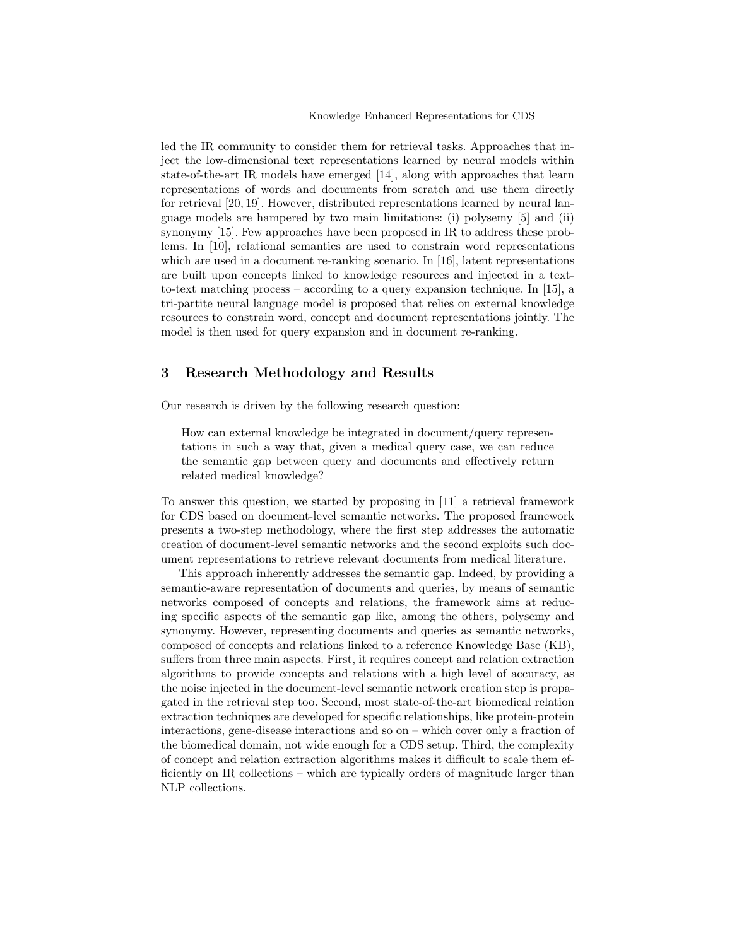led the IR community to consider them for retrieval tasks. Approaches that inject the low-dimensional text representations learned by neural models within state-of-the-art IR models have emerged [14], along with approaches that learn representations of words and documents from scratch and use them directly for retrieval [20, 19]. However, distributed representations learned by neural language models are hampered by two main limitations: (i) polysemy [5] and (ii) synonymy [15]. Few approaches have been proposed in IR to address these problems. In [10], relational semantics are used to constrain word representations which are used in a document re-ranking scenario. In [16], latent representations are built upon concepts linked to knowledge resources and injected in a textto-text matching process – according to a query expansion technique. In [15], a tri-partite neural language model is proposed that relies on external knowledge resources to constrain word, concept and document representations jointly. The model is then used for query expansion and in document re-ranking.

## 3 Research Methodology and Results

Our research is driven by the following research question:

How can external knowledge be integrated in document/query representations in such a way that, given a medical query case, we can reduce the semantic gap between query and documents and effectively return related medical knowledge?

To answer this question, we started by proposing in [11] a retrieval framework for CDS based on document-level semantic networks. The proposed framework presents a two-step methodology, where the first step addresses the automatic creation of document-level semantic networks and the second exploits such document representations to retrieve relevant documents from medical literature.

This approach inherently addresses the semantic gap. Indeed, by providing a semantic-aware representation of documents and queries, by means of semantic networks composed of concepts and relations, the framework aims at reducing specific aspects of the semantic gap like, among the others, polysemy and synonymy. However, representing documents and queries as semantic networks, composed of concepts and relations linked to a reference Knowledge Base (KB), suffers from three main aspects. First, it requires concept and relation extraction algorithms to provide concepts and relations with a high level of accuracy, as the noise injected in the document-level semantic network creation step is propagated in the retrieval step too. Second, most state-of-the-art biomedical relation extraction techniques are developed for specific relationships, like protein-protein interactions, gene-disease interactions and so on – which cover only a fraction of the biomedical domain, not wide enough for a CDS setup. Third, the complexity of concept and relation extraction algorithms makes it difficult to scale them efficiently on IR collections – which are typically orders of magnitude larger than NLP collections.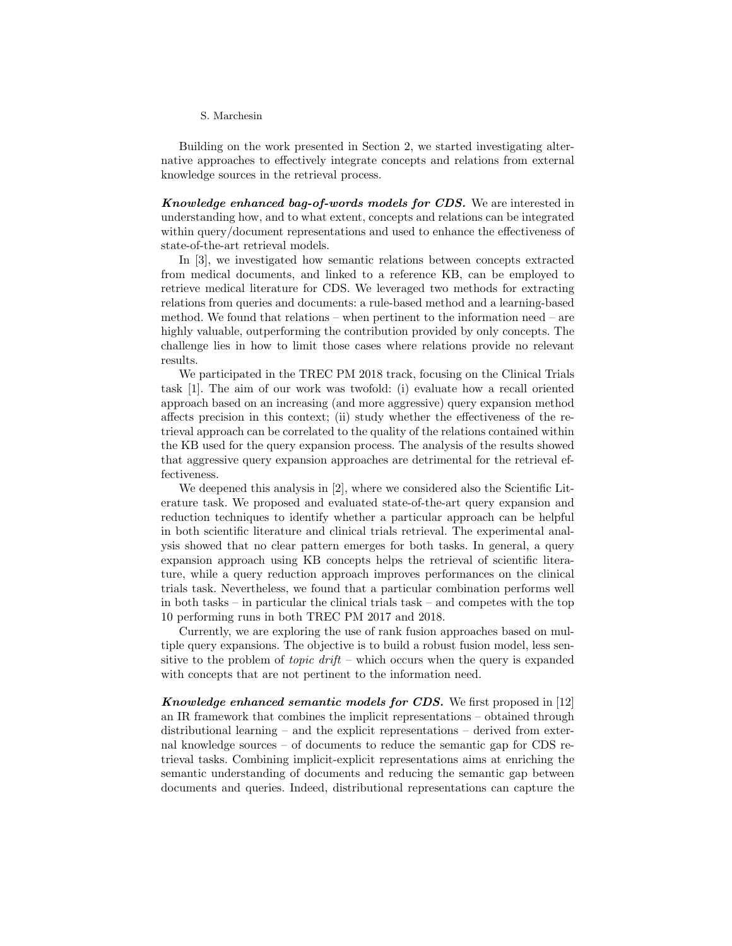#### S. Marchesin

Building on the work presented in Section 2, we started investigating alternative approaches to effectively integrate concepts and relations from external knowledge sources in the retrieval process.

Knowledge enhanced bag-of-words models for CDS. We are interested in understanding how, and to what extent, concepts and relations can be integrated within query/document representations and used to enhance the effectiveness of state-of-the-art retrieval models.

In [3], we investigated how semantic relations between concepts extracted from medical documents, and linked to a reference KB, can be employed to retrieve medical literature for CDS. We leveraged two methods for extracting relations from queries and documents: a rule-based method and a learning-based method. We found that relations – when pertinent to the information need – are highly valuable, outperforming the contribution provided by only concepts. The challenge lies in how to limit those cases where relations provide no relevant results.

We participated in the TREC PM 2018 track, focusing on the Clinical Trials task [1]. The aim of our work was twofold: (i) evaluate how a recall oriented approach based on an increasing (and more aggressive) query expansion method affects precision in this context; (ii) study whether the effectiveness of the retrieval approach can be correlated to the quality of the relations contained within the KB used for the query expansion process. The analysis of the results showed that aggressive query expansion approaches are detrimental for the retrieval effectiveness.

We deepened this analysis in [2], where we considered also the Scientific Literature task. We proposed and evaluated state-of-the-art query expansion and reduction techniques to identify whether a particular approach can be helpful in both scientific literature and clinical trials retrieval. The experimental analysis showed that no clear pattern emerges for both tasks. In general, a query expansion approach using KB concepts helps the retrieval of scientific literature, while a query reduction approach improves performances on the clinical trials task. Nevertheless, we found that a particular combination performs well in both tasks – in particular the clinical trials task – and competes with the top 10 performing runs in both TREC PM 2017 and 2018.

Currently, we are exploring the use of rank fusion approaches based on multiple query expansions. The objective is to build a robust fusion model, less sensitive to the problem of *topic drift* – which occurs when the query is expanded with concepts that are not pertinent to the information need.

Knowledge enhanced semantic models for CDS. We first proposed in [12] an IR framework that combines the implicit representations – obtained through distributional learning – and the explicit representations – derived from external knowledge sources – of documents to reduce the semantic gap for CDS retrieval tasks. Combining implicit-explicit representations aims at enriching the semantic understanding of documents and reducing the semantic gap between documents and queries. Indeed, distributional representations can capture the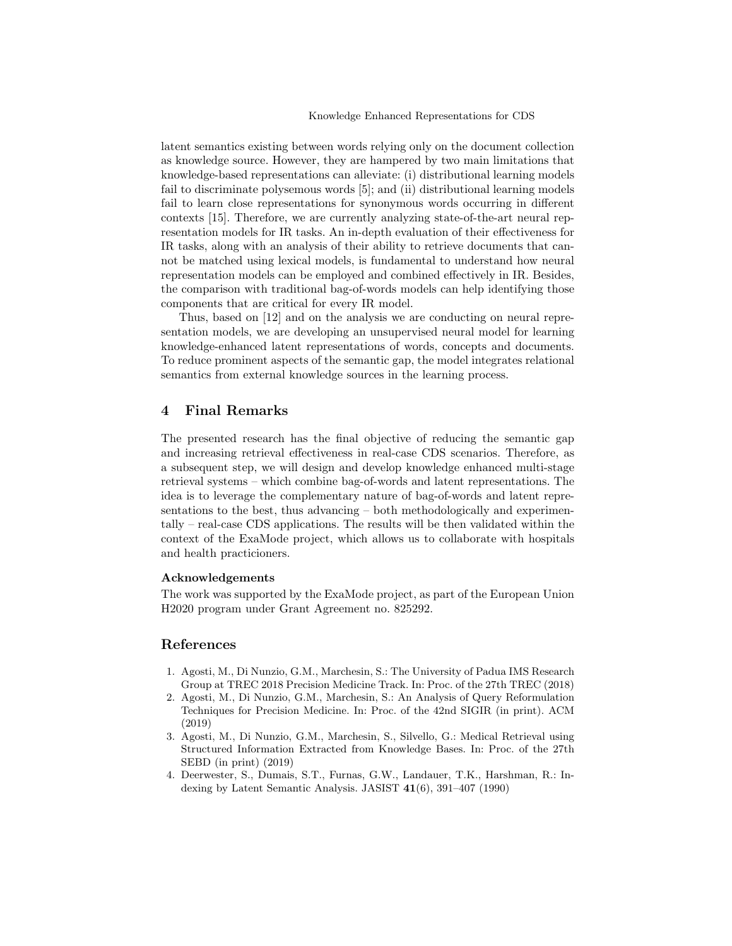latent semantics existing between words relying only on the document collection as knowledge source. However, they are hampered by two main limitations that knowledge-based representations can alleviate: (i) distributional learning models fail to discriminate polysemous words [5]; and (ii) distributional learning models fail to learn close representations for synonymous words occurring in different contexts [15]. Therefore, we are currently analyzing state-of-the-art neural representation models for IR tasks. An in-depth evaluation of their effectiveness for IR tasks, along with an analysis of their ability to retrieve documents that cannot be matched using lexical models, is fundamental to understand how neural representation models can be employed and combined effectively in IR. Besides, the comparison with traditional bag-of-words models can help identifying those components that are critical for every IR model.

Thus, based on [12] and on the analysis we are conducting on neural representation models, we are developing an unsupervised neural model for learning knowledge-enhanced latent representations of words, concepts and documents. To reduce prominent aspects of the semantic gap, the model integrates relational semantics from external knowledge sources in the learning process.

### 4 Final Remarks

The presented research has the final objective of reducing the semantic gap and increasing retrieval effectiveness in real-case CDS scenarios. Therefore, as a subsequent step, we will design and develop knowledge enhanced multi-stage retrieval systems – which combine bag-of-words and latent representations. The idea is to leverage the complementary nature of bag-of-words and latent representations to the best, thus advancing – both methodologically and experimentally – real-case CDS applications. The results will be then validated within the context of the ExaMode project, which allows us to collaborate with hospitals and health practicioners.

#### Acknowledgements

The work was supported by the ExaMode project, as part of the European Union H2020 program under Grant Agreement no. 825292.

### References

- 1. Agosti, M., Di Nunzio, G.M., Marchesin, S.: The University of Padua IMS Research Group at TREC 2018 Precision Medicine Track. In: Proc. of the 27th TREC (2018)
- 2. Agosti, M., Di Nunzio, G.M., Marchesin, S.: An Analysis of Query Reformulation Techniques for Precision Medicine. In: Proc. of the 42nd SIGIR (in print). ACM (2019)
- 3. Agosti, M., Di Nunzio, G.M., Marchesin, S., Silvello, G.: Medical Retrieval using Structured Information Extracted from Knowledge Bases. In: Proc. of the 27th SEBD (in print) (2019)
- 4. Deerwester, S., Dumais, S.T., Furnas, G.W., Landauer, T.K., Harshman, R.: Indexing by Latent Semantic Analysis. JASIST 41(6), 391–407 (1990)